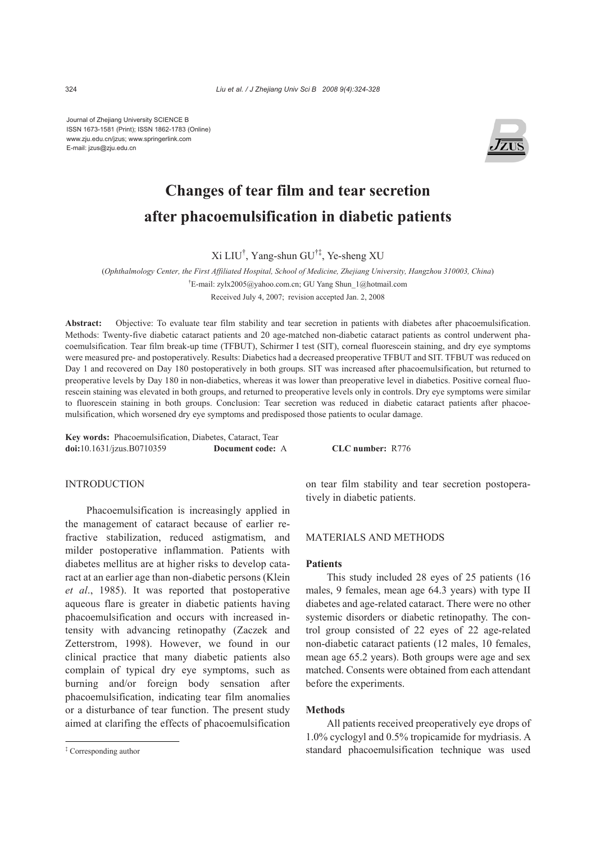Journal of Zhejiang University SCIENCE B ISSN 1673-1581 (Print); ISSN 1862-1783 (Online) www.zju.edu.cn/jzus; www.springerlink.com E-mail: jzus@zju.edu.cn



# **Changes of tear film and tear secretion after phacoemulsification in diabetic patients**

Xi LIU† , Yang-shun GU†‡, Ye-sheng XU

(*Ophthalmology Center, the First Affiliated Hospital, School of Medicine, Zhejiang University, Hangzhou 310003, China*)

† E-mail: zylx2005@yahoo.com.cn; GU Yang Shun\_1@hotmail.com

Received July 4, 2007; revision accepted Jan. 2, 2008

**Abstract:** Objective: To evaluate tear film stability and tear secretion in patients with diabetes after phacoemulsification. Methods: Twenty-five diabetic cataract patients and 20 age-matched non-diabetic cataract patients as control underwent phacoemulsification. Tear film break-up time (TFBUT), Schirmer I test (SIT), corneal fluorescein staining, and dry eye symptoms were measured pre- and postoperatively. Results: Diabetics had a decreased preoperative TFBUT and SIT. TFBUT was reduced on Day 1 and recovered on Day 180 postoperatively in both groups. SIT was increased after phacoemulsification, but returned to preoperative levels by Day 180 in non-diabetics, whereas it was lower than preoperative level in diabetics. Positive corneal fluorescein staining was elevated in both groups, and returned to preoperative levels only in controls. Dry eye symptoms were similar to fluorescein staining in both groups. Conclusion: Tear secretion was reduced in diabetic cataract patients after phacoemulsification, which worsened dry eye symptoms and predisposed those patients to ocular damage.

**Key words:** Phacoemulsification, Diabetes, Cataract, Tear **doi:**10.1631/jzus.B0710359 **Document code:** A **CLC number:** R776

# INTRODUCTION

Phacoemulsification is increasingly applied in the management of cataract because of earlier refractive stabilization, reduced astigmatism, and milder postoperative inflammation. Patients with diabetes mellitus are at higher risks to develop cataract at an earlier age than non-diabetic persons (Klein *et al*., 1985). It was reported that postoperative aqueous flare is greater in diabetic patients having phacoemulsification and occurs with increased intensity with advancing retinopathy (Zaczek and Zetterstrom, 1998). However, we found in our clinical practice that many diabetic patients also complain of typical dry eye symptoms, such as burning and/or foreign body sensation after phacoemulsification, indicating tear film anomalies or a disturbance of tear function. The present study aimed at clarifing the effects of phacoemulsification on tear film stability and tear secretion postoperatively in diabetic patients.

## MATERIALS AND METHODS

# **Patients**

This study included 28 eyes of 25 patients (16 males, 9 females, mean age 64.3 years) with type II diabetes and age-related cataract. There were no other systemic disorders or diabetic retinopathy. The control group consisted of 22 eyes of 22 age-related non-diabetic cataract patients (12 males, 10 females, mean age 65.2 years). Both groups were age and sex matched. Consents were obtained from each attendant before the experiments.

# **Methods**

All patients received preoperatively eye drops of 1.0% cyclogyl and 0.5% tropicamide for mydriasis. A standard phacoemulsification technique was used

<sup>‡</sup> Corresponding author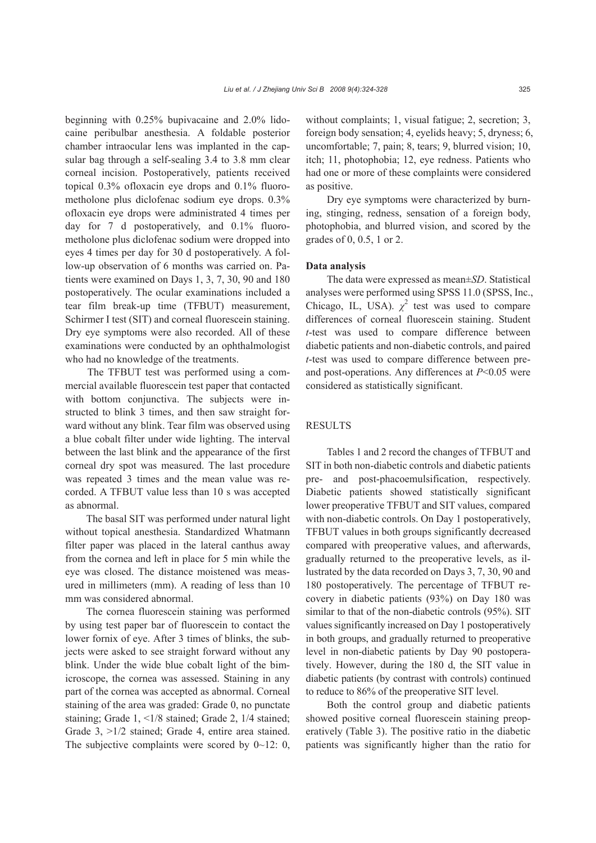beginning with 0.25% bupivacaine and 2.0% lidocaine peribulbar anesthesia. A foldable posterior chamber intraocular lens was implanted in the capsular bag through a self-sealing 3.4 to 3.8 mm clear corneal incision. Postoperatively, patients received topical 0.3% ofloxacin eye drops and 0.1% fluorometholone plus diclofenac sodium eye drops. 0.3% ofloxacin eye drops were administrated 4 times per day for 7 d postoperatively, and 0.1% fluorometholone plus diclofenac sodium were dropped into eyes 4 times per day for 30 d postoperatively. A follow-up observation of 6 months was carried on. Patients were examined on Days 1, 3, 7, 30, 90 and 180 postoperatively. The ocular examinations included a tear film break-up time (TFBUT) measurement, Schirmer I test (SIT) and corneal fluorescein staining. Dry eye symptoms were also recorded. All of these

who had no knowledge of the treatments. The TFBUT test was performed using a commercial available fluorescein test paper that contacted with bottom conjunctiva. The subjects were instructed to blink 3 times, and then saw straight forward without any blink. Tear film was observed using a blue cobalt filter under wide lighting. The interval between the last blink and the appearance of the first corneal dry spot was measured. The last procedure was repeated 3 times and the mean value was recorded. A TFBUT value less than 10 s was accepted as abnormal.

examinations were conducted by an ophthalmologist

The basal SIT was performed under natural light without topical anesthesia. Standardized Whatmann filter paper was placed in the lateral canthus away from the cornea and left in place for 5 min while the eye was closed. The distance moistened was measured in millimeters (mm). A reading of less than 10 mm was considered abnormal.

The cornea fluorescein staining was performed by using test paper bar of fluorescein to contact the lower fornix of eye. After 3 times of blinks, the subjects were asked to see straight forward without any blink. Under the wide blue cobalt light of the bimicroscope, the cornea was assessed. Staining in any part of the cornea was accepted as abnormal. Corneal staining of the area was graded: Grade 0, no punctate staining; Grade 1, <1/8 stained; Grade 2, 1/4 stained; Grade 3, >1/2 stained; Grade 4, entire area stained. The subjective complaints were scored by  $0 \sim 12$ : 0, without complaints; 1, visual fatigue; 2, secretion; 3, foreign body sensation; 4, eyelids heavy; 5, dryness; 6, uncomfortable; 7, pain; 8, tears; 9, blurred vision; 10, itch; 11, photophobia; 12, eye redness. Patients who had one or more of these complaints were considered as positive.

Dry eye symptoms were characterized by burning, stinging, redness, sensation of a foreign body, photophobia, and blurred vision, and scored by the grades of 0, 0.5, 1 or 2.

#### **Data analysis**

The data were expressed as mean±*SD*. Statistical analyses were performed using SPSS 11.0 (SPSS, Inc., Chicago, IL, USA).  $\chi^2$  test was used to compare differences of corneal fluorescein staining. Student *t*-test was used to compare difference between diabetic patients and non-diabetic controls, and paired *t*-test was used to compare difference between preand post-operations. Any differences at *P*<0.05 were considered as statistically significant.

## RESULTS

Tables 1 and 2 record the changes of TFBUT and SIT in both non-diabetic controls and diabetic patients pre- and post-phacoemulsification, respectively. Diabetic patients showed statistically significant lower preoperative TFBUT and SIT values, compared with non-diabetic controls. On Day 1 postoperatively, TFBUT values in both groups significantly decreased compared with preoperative values, and afterwards, gradually returned to the preoperative levels, as illustrated by the data recorded on Days 3, 7, 30, 90 and 180 postoperatively. The percentage of TFBUT recovery in diabetic patients (93%) on Day 180 was similar to that of the non-diabetic controls (95%). SIT values significantly increased on Day 1 postoperatively in both groups, and gradually returned to preoperative level in non-diabetic patients by Day 90 postoperatively. However, during the 180 d, the SIT value in diabetic patients (by contrast with controls) continued to reduce to 86% of the preoperative SIT level.

Both the control group and diabetic patients showed positive corneal fluorescein staining preoperatively (Table 3). The positive ratio in the diabetic patients was significantly higher than the ratio for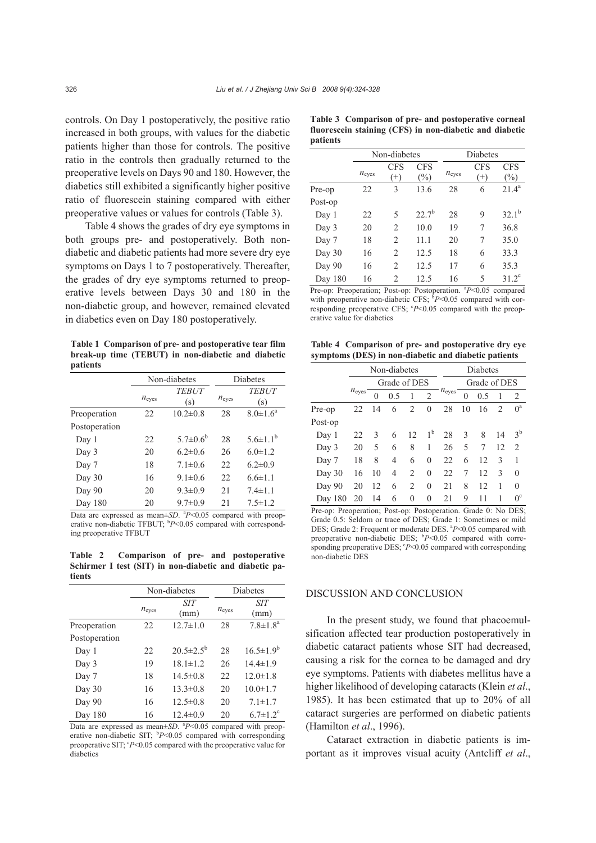controls. On Day 1 postoperatively, the positive ratio increased in both groups, with values for the diabetic patients higher than those for controls. The positive ratio in the controls then gradually returned to the preoperative levels on Days 90 and 180. However, the diabetics still exhibited a significantly higher positive ratio of fluorescein staining compared with either preoperative values or values for controls (Table 3).

Table 4 shows the grades of dry eye symptoms in both groups pre- and postoperatively. Both nondiabetic and diabetic patients had more severe dry eye symptoms on Days 1 to 7 postoperatively. Thereafter, the grades of dry eye symptoms returned to preoperative levels between Days 30 and 180 in the non-diabetic group, and however, remained elevated in diabetics even on Day 180 postoperatively.

**Table 1 Comparison of pre- and postoperative tear film break-up time (TEBUT) in non-diabetic and diabetic patients** 

|               |                   | Non-diabetes        | Diabetes          |                     |  |
|---------------|-------------------|---------------------|-------------------|---------------------|--|
|               | $n_{\text{eyes}}$ | <b>TEBUT</b><br>(s) | $n_{\text{eves}}$ | <b>TEBUT</b><br>(s) |  |
| Preoperation  | 22                | $10.2 \pm 0.8$      | 28                | $8.0 \pm 1.6^a$     |  |
| Postoperation |                   |                     |                   |                     |  |
| Day 1         | 22                | $5.7 \pm 0.6^b$     | 28                | $5.6 \pm 1.1^{b}$   |  |
| Day 3         | 20                | $6.2 \pm 0.6$       | 26                | $6.0 \pm 1.2$       |  |
| Day 7         | 18                | $7.1 \pm 0.6$       | 22                | $6.2 \pm 0.9$       |  |
| Day 30        | 16                | $9.1 \pm 0.6$       | 22                | $6.6 \pm 1.1$       |  |
| Day 90        | 20                | $9.3 \pm 0.9$       | 21                | $7.4 \pm 1.1$       |  |
| Day 180       | 20                | $9.7 \pm 0.9$       | 2.1               | $7.5 \pm 1.2$       |  |

Data are expressed as mean±*SD*. <sup>a</sup>P<0.05 compared with preoperative non-diabetic TFBUT; <sup>b</sup>P<0.05 compared with corresponding preoperative TFBUT

**Table 2 Comparison of pre- and postoperative Schirmer I test (SIT) in non-diabetic and diabetic patients** 

|               |                   | Non-diabetes           | Diabetes |                            |  |
|---------------|-------------------|------------------------|----------|----------------------------|--|
|               | $n_{\text{eyes}}$ | <b>SIT</b><br>(mm)     |          | <b>SIT</b><br>(mm)         |  |
| Preoperation  | 22                | $12.7 \pm 1.0$         | 28       | $7.8 \pm 1.8^a$            |  |
| Postoperation |                   |                        |          |                            |  |
| Day 1         | 22                | $20.5 \pm 2.5^{\circ}$ | 28       | $16.5 \pm 1.9^b$           |  |
| Day 3         | 19                | $18.1 \pm 1.2$         | 26       | $14.4 \pm 1.9$             |  |
| Day 7         | 18                | $14.5 \pm 0.8$         | 22       | $12.0 \pm 1.8$             |  |
| Day 30        | 16                | $13.3 \pm 0.8$         | 20       | $10.0 \pm 1.7$             |  |
| Day 90        | 16                | $12.5 \pm 0.8$         | 20       | $7.1 \pm 1.7$              |  |
| Day 180       | 16                | $12.4 \pm 0.9$         | 20       | $6.7 \pm 1.2$ <sup>c</sup> |  |

Data are expressed as mean $\pm SD$ .  $^{a}P<0.05$  compared with preoperative non-diabetic SIT; <sup>b</sup>P<0.05 compared with corresponding preoperative SIT; <sup>c</sup>P<0.05 compared with the preoperative value for diabetics

|                 |  | Table 3 Comparison of pre- and postoperative corneal    |  |
|-----------------|--|---------------------------------------------------------|--|
|                 |  | fluorescein staining (CFS) in non-diabetic and diabetic |  |
| <i>patients</i> |  |                                                         |  |

|         |                     | Non-diabetes           |                      | Diabetes            |                        |                      |  |
|---------|---------------------|------------------------|----------------------|---------------------|------------------------|----------------------|--|
|         | $n_{\mathrm{eyes}}$ | <b>CFS</b><br>$^{(+)}$ | <b>CFS</b><br>$(\%)$ | $n_{\mathrm{eyes}}$ | <b>CFS</b><br>$^{(+)}$ | <b>CFS</b><br>$(\%)$ |  |
| Pre-op  | 22                  | 3                      | 13.6                 | 28                  | 6                      | $21.4^a$             |  |
| Post-op |                     |                        |                      |                     |                        |                      |  |
| Day 1   | 22                  | 5                      | $22.7^{b}$           | 28                  | 9                      | $32.1^{b}$           |  |
| Day 3   | 20                  | $\overline{c}$         | 10.0                 | 19                  | 7                      | 36.8                 |  |
| Day 7   | 18                  | 2                      | 11.1                 | 20                  | 7                      | 35.0                 |  |
| Day 30  | 16                  | $\overline{c}$         | 12.5                 | 18                  | 6                      | 33.3                 |  |
| Day 90  | 16                  | $\overline{c}$         | 12.5                 | 17                  | 6                      | 35.3                 |  |
| Day 180 | 16                  | $\overline{c}$         | 12.5                 | 16                  | 5                      | $31.2^{\circ}$       |  |

Pre-op: Preoperation; Post-op: Postoperation. <sup>a</sup>P<0.05 compared with preoperative non-diabetic CFS;  $bP<0.05$  compared with corresponding preoperative CFS;  $P < 0.05$  compared with the preoperative value for diabetics

**Table 4 Comparison of pre- and postoperative dry eye symptoms (DES) in non-diabetic and diabetic patients**

|         |                   | Non-diabetes |     |                |                | Diabetes          |    |     |                |                |
|---------|-------------------|--------------|-----|----------------|----------------|-------------------|----|-----|----------------|----------------|
|         |                   | Grade of DES |     |                |                | Grade of DES      |    |     |                |                |
|         | $n_{\text{eyes}}$ | $\theta$     | 0.5 |                | $\overline{2}$ | $n_{\text{eyes}}$ | 0  | 0.5 | 1              | $\overline{2}$ |
| Pre-op  | 22                | 14           | 6   | $\overline{2}$ | $\mathbf{0}$   | 28                | 10 | 16  | $\overline{2}$ | $0^a$          |
| Post-op |                   |              |     |                |                |                   |    |     |                |                |
| Day 1   | 22                | 3            | 6   | 12             | 1 <sup>b</sup> | 28                | 3  | 8   | 14             | $3^{\rm b}$    |
| Day 3   | 20                | 5            | 6   | 8              | 1              | 26                | 5  | 7   | 12             | $\overline{2}$ |
| Day 7   | 18                | 8            | 4   | 6              | $\theta$       | 22                | 6  | 12  | 3              | 1              |
| Day 30  | 16                | 10           | 4   | $\overline{c}$ | $\theta$       | 22                | 7  | 12  | 3              | $\mathbf{0}$   |
| Day 90  | 20                | 12           | 6   | $\overline{2}$ | $\theta$       | 21                | 8  | 12  | 1              | $\theta$       |
| Day 180 | 20                | 14           | 6   | 0              | $\theta$       | 21                | 9  | 11  | 1              | $0^{\circ}$    |

Pre-op: Preoperation; Post-op: Postoperation. Grade 0: No DES; Grade 0.5: Seldom or trace of DES; Grade 1: Sometimes or mild DES; Grade 2: Frequent or moderate DES. <sup>a</sup>P<0.05 compared with preoperative non-diabetic DES; <sup>b</sup>P<0.05 compared with corresponding preoperative DES;  $P < 0.05$  compared with corresponding non-diabetic DES

#### DISCUSSION AND CONCLUSION

In the present study, we found that phacoemulsification affected tear production postoperatively in diabetic cataract patients whose SIT had decreased, causing a risk for the cornea to be damaged and dry eye symptoms. Patients with diabetes mellitus have a higher likelihood of developing cataracts (Klein *et al*., 1985). It has been estimated that up to 20% of all cataract surgeries are performed on diabetic patients (Hamilton *et al*., 1996).

Cataract extraction in diabetic patients is important as it improves visual acuity (Antcliff *et al*.,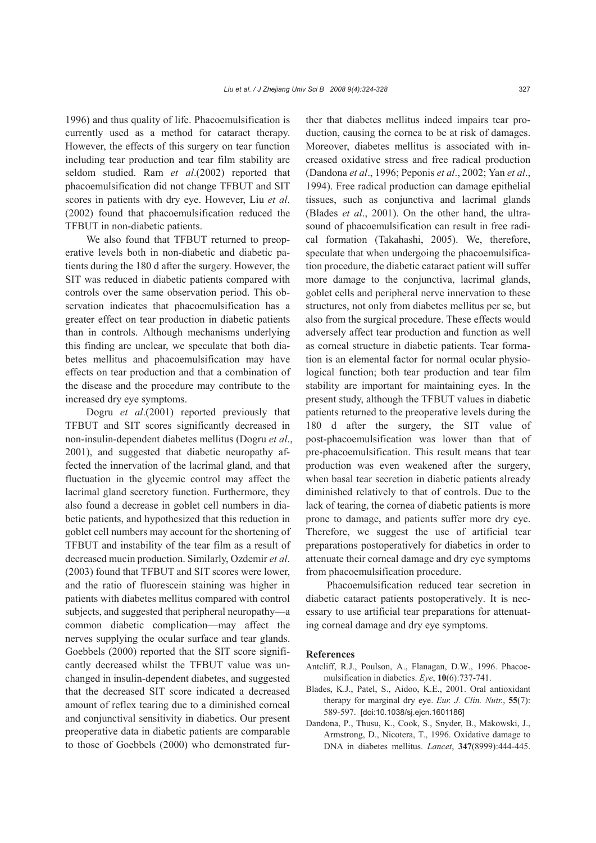1996) and thus quality of life. Phacoemulsification is currently used as a method for cataract therapy. However, the effects of this surgery on tear function including tear production and tear film stability are seldom studied. Ram *et al*.(2002) reported that phacoemulsification did not change TFBUT and SIT scores in patients with dry eye. However, Liu *et al*. (2002) found that phacoemulsification reduced the TFBUT in non-diabetic patients.

We also found that TFBUT returned to preoperative levels both in non-diabetic and diabetic patients during the 180 d after the surgery. However, the SIT was reduced in diabetic patients compared with controls over the same observation period. This observation indicates that phacoemulsification has a greater effect on tear production in diabetic patients than in controls. Although mechanisms underlying this finding are unclear, we speculate that both diabetes mellitus and phacoemulsification may have effects on tear production and that a combination of the disease and the procedure may contribute to the increased dry eye symptoms.

Dogru *et al*.(2001) reported previously that TFBUT and SIT scores significantly decreased in non-insulin-dependent diabetes mellitus (Dogru *et al*., 2001), and suggested that diabetic neuropathy affected the innervation of the lacrimal gland, and that fluctuation in the glycemic control may affect the lacrimal gland secretory function. Furthermore, they also found a decrease in goblet cell numbers in diabetic patients, and hypothesized that this reduction in goblet cell numbers may account for the shortening of TFBUT and instability of the tear film as a result of decreased mucin production. Similarly, Ozdemir *et al*. (2003) found that TFBUT and SIT scores were lower, and the ratio of fluorescein staining was higher in patients with diabetes mellitus compared with control subjects, and suggested that peripheral neuropathy—a common diabetic complication—may affect the nerves supplying the ocular surface and tear glands. Goebbels (2000) reported that the SIT score significantly decreased whilst the TFBUT value was unchanged in insulin-dependent diabetes, and suggested that the decreased SIT score indicated a decreased amount of reflex tearing due to a diminished corneal and conjunctival sensitivity in diabetics. Our present preoperative data in diabetic patients are comparable to those of Goebbels (2000) who demonstrated further that diabetes mellitus indeed impairs tear production, causing the cornea to be at risk of damages. Moreover, diabetes mellitus is associated with increased oxidative stress and free radical production (Dandona *et al*., 1996; Peponis *et al*., 2002; Yan *et al*., 1994). Free radical production can damage epithelial tissues, such as conjunctiva and lacrimal glands (Blades *et al*., 2001). On the other hand, the ultrasound of phacoemulsification can result in free radical formation (Takahashi, 2005). We, therefore, speculate that when undergoing the phacoemulsification procedure, the diabetic cataract patient will suffer more damage to the conjunctiva, lacrimal glands, goblet cells and peripheral nerve innervation to these structures, not only from diabetes mellitus per se, but also from the surgical procedure. These effects would adversely affect tear production and function as well as corneal structure in diabetic patients. Tear formation is an elemental factor for normal ocular physiological function; both tear production and tear film stability are important for maintaining eyes. In the present study, although the TFBUT values in diabetic patients returned to the preoperative levels during the 180 d after the surgery, the SIT value of post-phacoemulsification was lower than that of pre-phacoemulsification. This result means that tear production was even weakened after the surgery, when basal tear secretion in diabetic patients already diminished relatively to that of controls. Due to the lack of tearing, the cornea of diabetic patients is more prone to damage, and patients suffer more dry eye. Therefore, we suggest the use of artificial tear preparations postoperatively for diabetics in order to attenuate their corneal damage and dry eye symptoms from phacoemulsification procedure.

Phacoemulsification reduced tear secretion in diabetic cataract patients postoperatively. It is necessary to use artificial tear preparations for attenuating corneal damage and dry eye symptoms.

#### **References**

- Antcliff, R.J., Poulson, A., Flanagan, D.W., 1996. Phacoemulsification in diabetics. *Eye*, **10**(6):737-741.
- Blades, K.J., Patel, S., Aidoo, K.E., 2001. Oral antioxidant therapy for marginal dry eye. *Eur. J. Clin. Nutr.*, **55**(7): 589-597. [doi:10.1038/sj.ejcn.1601186]
- Dandona, P., Thusu, K., Cook, S., Snyder, B., Makowski, J., Armstrong, D., Nicotera, T., 1996. Oxidative damage to DNA in diabetes mellitus. *Lancet*, **347**(8999):444-445.